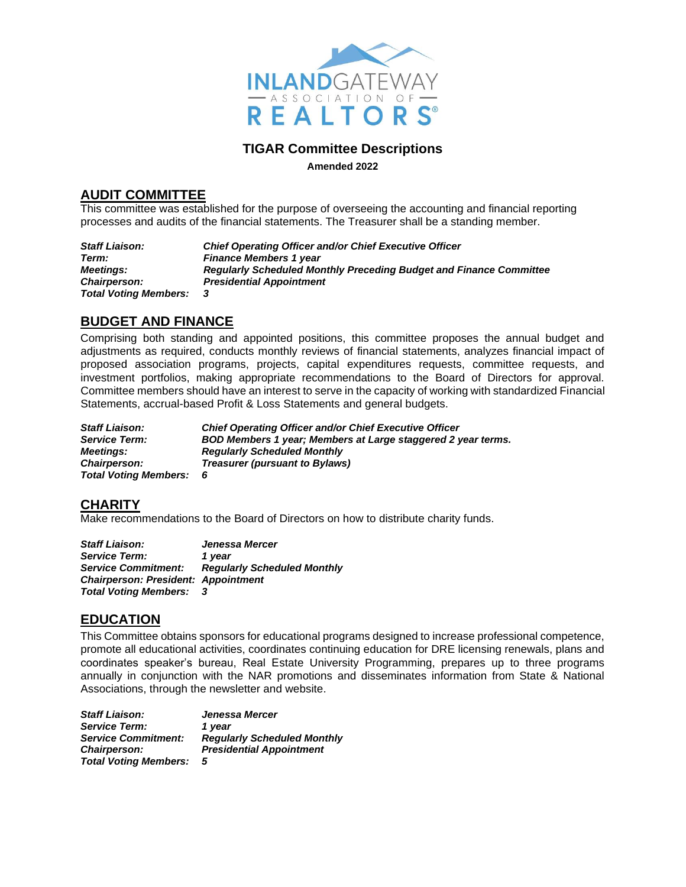

#### **TIGAR Committee Descriptions**

**Amended 2022**

#### **AUDIT COMMITTEE**

This committee was established for the purpose of overseeing the accounting and financial reporting processes and audits of the financial statements. The Treasurer shall be a standing member.

*Staff Liaison: Chief Operating Officer and/or Chief Executive Officer Term: Finance Members 1 year Meetings: Regularly Scheduled Monthly Preceding Budget and Finance Committee Chairperson: Presidential Appointment Total Voting Members: 3* 

# **BUDGET AND FINANCE**

Comprising both standing and appointed positions, this committee proposes the annual budget and adjustments as required, conducts monthly reviews of financial statements, analyzes financial impact of proposed association programs, projects, capital expenditures requests, committee requests, and investment portfolios, making appropriate recommendations to the Board of Directors for approval. Committee members should have an interest to serve in the capacity of working with standardized Financial Statements, accrual-based Profit & Loss Statements and general budgets.

*Staff Liaison: Chief Operating Officer and/or Chief Executive Officer Service Term: BOD Members 1 year; Members at Large staggered 2 year terms. Meetings: Regularly Scheduled Monthly Chairperson: Treasurer (pursuant to Bylaws) Total Voting Members: 6* 

#### **CHARITY**

Make recommendations to the Board of Directors on how to distribute charity funds.

| <b>Staff Liaison:</b>                      | Jenessa Mercer                     |
|--------------------------------------------|------------------------------------|
| <b>Service Term:</b>                       | 1 vear                             |
| <b>Service Commitment:</b>                 | <b>Regularly Scheduled Monthly</b> |
| <b>Chairperson: President: Appointment</b> |                                    |
| <b>Total Voting Members:</b>               | - 3                                |

#### **EDUCATION**

This Committee obtains sponsors for educational programs designed to increase professional competence, promote all educational activities, coordinates continuing education for DRE licensing renewals, plans and coordinates speaker's bureau, Real Estate University Programming, prepares up to three programs annually in conjunction with the NAR promotions and disseminates information from State & National Associations, through the newsletter and website.

*Staff Liaison: Jenessa Mercer Service Term: 1 year Service Commitment: Regularly Scheduled Monthly Chairperson: Presidential Appointment Total Voting Members: 5*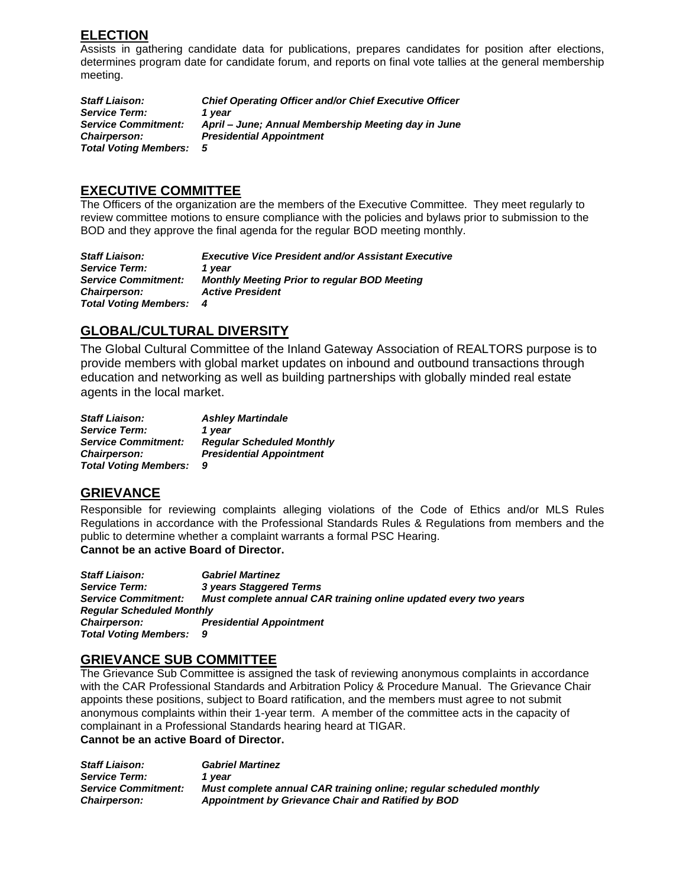# **ELECTION**

Assists in gathering candidate data for publications, prepares candidates for position after elections, determines program date for candidate forum, and reports on final vote tallies at the general membership meeting.

*Staff Liaison: Chief Operating Officer and/or Chief Executive Officer Service Term: 1 year Service Commitment: April – June; Annual Membership Meeting day in June Chairperson: Presidential Appointment Total Voting Members: 5*

### **EXECUTIVE COMMITTEE**

The Officers of the organization are the members of the Executive Committee. They meet regularly to review committee motions to ensure compliance with the policies and bylaws prior to submission to the BOD and they approve the final agenda for the regular BOD meeting monthly.

*Staff Liaison: Executive Vice President and/or Assistant Executive Service Term: 1 year Service Commitment: Monthly Meeting Prior to regular BOD Meeting Chairperson: Active President Total Voting Members: 4*

# **GLOBAL/CULTURAL DIVERSITY**

The Global Cultural Committee of the Inland Gateway Association of REALTORS purpose is to provide members with global market updates on inbound and outbound transactions through education and networking as well as building partnerships with globally minded real estate agents in the local market.

*Staff Liaison: Ashley Martindale* **Service Term:** *Service Commitment: Regular Scheduled Monthly Chairperson: Presidential Appointment Total Voting Members: 9*

## **GRIEVANCE**

Responsible for reviewing complaints alleging violations of the Code of Ethics and/or MLS Rules Regulations in accordance with the Professional Standards Rules & Regulations from members and the public to determine whether a complaint warrants a formal PSC Hearing.

**Cannot be an active Board of Director.** 

*Staff Liaison: Gabriel Martinez Service Term: 3 years Staggered Terms Service Commitment: Must complete annual CAR training online updated every two years Regular Scheduled Monthly Chairperson: Presidential Appointment Total Voting Members: 9*

#### **GRIEVANCE SUB COMMITTEE**

The Grievance Sub Committee is assigned the task of reviewing anonymous complaints in accordance with the CAR Professional Standards and Arbitration Policy & Procedure Manual. The Grievance Chair appoints these positions, subject to Board ratification, and the members must agree to not submit anonymous complaints within their 1-year term. A member of the committee acts in the capacity of complainant in a Professional Standards hearing heard at TIGAR. **Cannot be an active Board of Director.**

*Staff Liaison: Gabriel Martinez Service Term: 1 year Service Commitment: Must complete annual CAR training online; regular scheduled monthly Chairperson: Appointment by Grievance Chair and Ratified by BOD*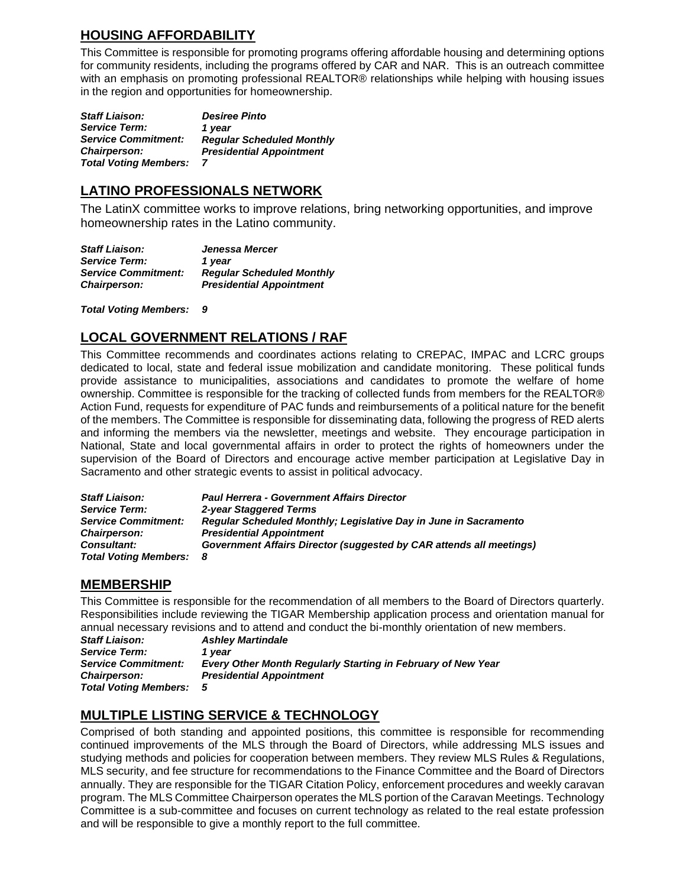# **HOUSING AFFORDABILITY**

This Committee is responsible for promoting programs offering affordable housing and determining options for community residents, including the programs offered by CAR and NAR. This is an outreach committee with an emphasis on promoting professional REALTOR® relationships while helping with housing issues in the region and opportunities for homeownership.

*Staff Liaison: Service Term: Service Commitment: Chairperson: Desiree Pinto 1 year Regular Scheduled Monthly Presidential Appointment Total Voting Members: 7*

## **LATINO PROFESSIONALS NETWORK**

The LatinX committee works to improve relations, bring networking opportunities, and improve homeownership rates in the Latino community.

*Staff Liaison: Jenessa Mercer Service Term: 1 year Service Commitment: Regular Scheduled Monthly Chairperson: Presidential Appointment*

*Total Voting Members: 9*

# **LOCAL GOVERNMENT RELATIONS / RAF**

This Committee recommends and coordinates actions relating to CREPAC, IMPAC and LCRC groups dedicated to local, state and federal issue mobilization and candidate monitoring. These political funds provide assistance to municipalities, associations and candidates to promote the welfare of home ownership. Committee is responsible for the tracking of collected funds from members for the REALTOR® Action Fund, requests for expenditure of PAC funds and reimbursements of a political nature for the benefit of the members. The Committee is responsible for disseminating data, following the progress of RED alerts and informing the members via the newsletter, meetings and website. They encourage participation in National, State and local governmental affairs in order to protect the rights of homeowners under the supervision of the Board of Directors and encourage active member participation at Legislative Day in Sacramento and other strategic events to assist in political advocacy.

| <b>Staff Liaison:</b>        | <b>Paul Herrera - Government Affairs Director</b>                          |
|------------------------------|----------------------------------------------------------------------------|
| <b>Service Term:</b>         | 2-year Staggered Terms                                                     |
| <b>Service Commitment:</b>   | Regular Scheduled Monthly: Legislative Day in June in Sacramento           |
| <b>Chairperson:</b>          | <b>Presidential Appointment</b>                                            |
| <b>Consultant:</b>           | <b>Government Affairs Director (suggested by CAR attends all meetings)</b> |
| <b>Total Voting Members:</b> | - 8                                                                        |

# **MEMBERSHIP**

This Committee is responsible for the recommendation of all members to the Board of Directors quarterly. Responsibilities include reviewing the TIGAR Membership application process and orientation manual for

annual necessary revisions and to attend and conduct the bi-monthly orientation of new members.<br>Staff Liaison: Ashlev Martindale *Staff Liaison: Ashley Martindale Service Term: 1 year Service Commitment: Every Other Month Regularly Starting in February of New Year Chairperson: Presidential Appointment Total Voting Members: 5*

# **MULTIPLE LISTING SERVICE & TECHNOLOGY**

Comprised of both standing and appointed positions, this committee is responsible for recommending continued improvements of the MLS through the Board of Directors, while addressing MLS issues and studying methods and policies for cooperation between members. They review MLS Rules & Regulations, MLS security, and fee structure for recommendations to the Finance Committee and the Board of Directors annually. They are responsible for the TIGAR Citation Policy, enforcement procedures and weekly caravan program. The MLS Committee Chairperson operates the MLS portion of the Caravan Meetings. Technology Committee is a sub-committee and focuses on current technology as related to the real estate profession and will be responsible to give a monthly report to the full committee.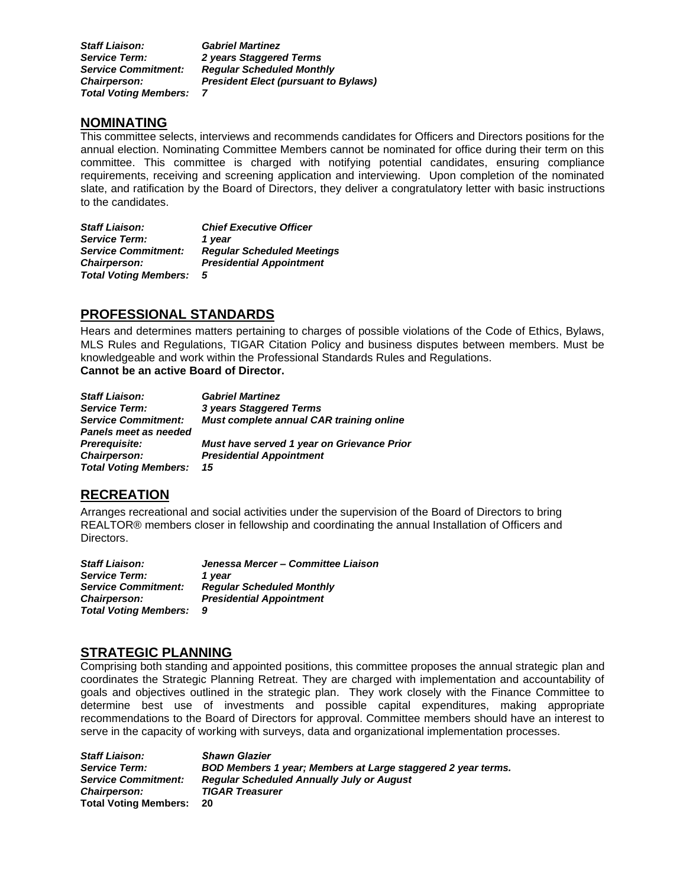*Staff Liaison: Gabriel Martinez Service Term: 2 years Staggered Terms Service Commitment: Regular Scheduled Monthly Chairperson: President Elect (pursuant to Bylaws) Total Voting Members: 7*

#### **NOMINATING**

This committee selects, interviews and recommends candidates for Officers and Directors positions for the annual election. Nominating Committee Members cannot be nominated for office during their term on this committee. This committee is charged with notifying potential candidates, ensuring compliance requirements, receiving and screening application and interviewing. Upon completion of the nominated slate, and ratification by the Board of Directors, they deliver a congratulatory letter with basic instructions to the candidates.

*Staff Liaison: Chief Executive Officer Service Term: 1 year Service Commitment: Regular Scheduled Meetings Chairperson: Presidential Appointment Total Voting Members: 5*

## **PROFESSIONAL STANDARDS**

Hears and determines matters pertaining to charges of possible violations of the Code of Ethics, Bylaws, MLS Rules and Regulations, TIGAR Citation Policy and business disputes between members. Must be knowledgeable and work within the Professional Standards Rules and Regulations. **Cannot be an active Board of Director.**

| <b>Staff Liaison:</b>        | <b>Gabriel Martinez</b>                    |
|------------------------------|--------------------------------------------|
| <b>Service Term:</b>         | 3 years Staggered Terms                    |
| <b>Service Commitment:</b>   | Must complete annual CAR training online   |
| Panels meet as needed        |                                            |
| Prerequisite:                | Must have served 1 year on Grievance Prior |
| Chairperson:                 | <b>Presidential Appointment</b>            |
| <b>Total Voting Members:</b> | 15                                         |

## **RECREATION**

Arranges recreational and social activities under the supervision of the Board of Directors to bring REALTOR® members closer in fellowship and coordinating the annual Installation of Officers and Directors.

*Staff Liaison: Jenessa Mercer – Committee Liaison* **Service Term:** *Service Commitment: Regular Scheduled Monthly Chairperson: Presidential Appointment Total Voting Members: 9*

#### **STRATEGIC PLANNING**

Comprising both standing and appointed positions, this committee proposes the annual strategic plan and coordinates the Strategic Planning Retreat. They are charged with implementation and accountability of goals and objectives outlined in the strategic plan. They work closely with the Finance Committee to determine best use of investments and possible capital expenditures, making appropriate recommendations to the Board of Directors for approval. Committee members should have an interest to serve in the capacity of working with surveys, data and organizational implementation processes.

| <b>Staff Liaison:</b>      | <b>Shawn Glazier</b>                                         |
|----------------------------|--------------------------------------------------------------|
| <b>Service Term:</b>       | BOD Members 1 year; Members at Large staggered 2 year terms. |
| <b>Service Commitment:</b> | <b>Regular Scheduled Annually July or August</b>             |
| <b>Chairperson:</b>        | <b>TIGAR Treasurer</b>                                       |
| Total Voting Members:      | - 20                                                         |